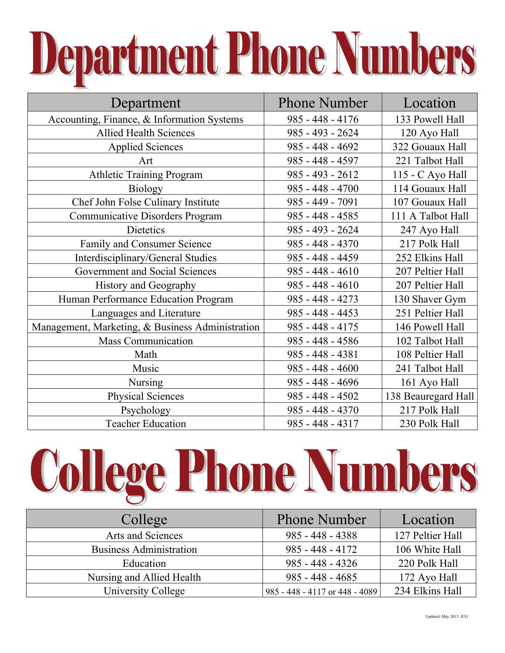## Department Phone Numbers

| Department                                       | <b>Phone Number</b> | Location            |
|--------------------------------------------------|---------------------|---------------------|
| Accounting, Finance, & Information Systems       | 985 - 448 - 4176    | 133 Powell Hall     |
| <b>Allied Health Sciences</b>                    | 985 - 493 - 2624    | 120 Ayo Hall        |
| <b>Applied Sciences</b>                          | 985 - 448 - 4692    | 322 Gouaux Hall     |
| Art                                              | 985 - 448 - 4597    | 221 Talbot Hall     |
| Athletic Training Program                        | 985 - 493 - 2612    | 115 - C Ayo Hall    |
| <b>Biology</b>                                   | $985 - 448 - 4700$  | 114 Gouaux Hall     |
| Chef John Folse Culinary Institute               | 985 - 449 - 7091    | 107 Gouaux Hall     |
| <b>Communicative Disorders Program</b>           | 985 - 448 - 4585    | 111 A Talbot Hall   |
| Dietetics                                        | 985 - 493 - 2624    | 247 Ayo Hall        |
| Family and Consumer Science                      | 985 - 448 - 4370    | 217 Polk Hall       |
| Interdisciplinary/General Studies                | 985 - 448 - 4459    | 252 Elkins Hall     |
| Government and Social Sciences                   | $985 - 448 - 4610$  | 207 Peltier Hall    |
| <b>History and Geography</b>                     | 985 - 448 - 4610    | 207 Peltier Hall    |
| Human Performance Education Program              | 985 - 448 - 4273    | 130 Shaver Gym      |
| Languages and Literature                         | 985 - 448 - 4453    | 251 Peltier Hall    |
| Management, Marketing, & Business Administration | 985 - 448 - 4175    | 146 Powell Hall     |
| <b>Mass Communication</b>                        | 985 - 448 - 4586    | 102 Talbot Hall     |
| Math                                             | 985 - 448 - 4381    | 108 Peltier Hall    |
| Music                                            | 985 - 448 - 4600    | 241 Talbot Hall     |
| <b>Nursing</b>                                   | 985 - 448 - 4696    | 161 Ayo Hall        |
| <b>Physical Sciences</b>                         | 985 - 448 - 4502    | 138 Beauregard Hall |
| Psychology                                       | 985 - 448 - 4370    | 217 Polk Hall       |
| <b>Teacher Education</b>                         | 985 - 448 - 4317    | 230 Polk Hall       |

## **College Phone Numbers**

| College                        | <b>Phone Number</b>            | Location         |
|--------------------------------|--------------------------------|------------------|
| Arts and Sciences              | $985 - 448 - 4388$             | 127 Peltier Hall |
| <b>Business Administration</b> | $985 - 448 - 4172$             | 106 White Hall   |
| Education                      | $985 - 448 - 4326$             | 220 Polk Hall    |
| Nursing and Allied Health      | $985 - 448 - 4685$             | 172 Ayo Hall     |
| University College             | 985 - 448 - 4117 or 448 - 4089 | 234 Elkins Hall  |